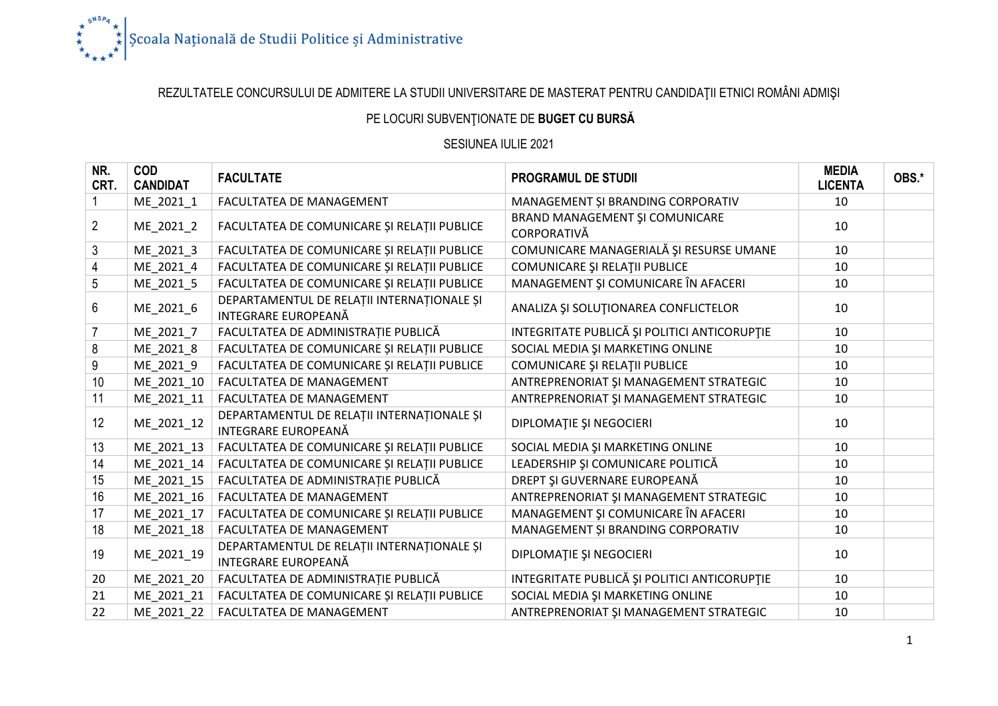

# REZULTATELE CONCURSULUI DE ADMITERE LA STUDII UNIVERSITARE DE MASTERAT PENTRU CANDIDAŢII ETNICI ROMÂNI ADMIŞI

# PE LOCURI SUBVENŢIONATE DE **BUGET CU BURSĂ**

### SESIUNEA IULIE 2021

| NR.<br>CRT.    | <b>COD</b><br><b>CANDIDAT</b> | <b>FACULTATE</b>                                                         | <b>PROGRAMUL DE STUDII</b>                           | <b>MEDIA</b><br><b>LICENTA</b> | OBS.* |
|----------------|-------------------------------|--------------------------------------------------------------------------|------------------------------------------------------|--------------------------------|-------|
|                | ME_2021_1                     | FACULTATEA DE MANAGEMENT                                                 | MANAGEMENT ȘI BRANDING CORPORATIV                    | 10                             |       |
| $\overline{2}$ | ME_2021_2                     | FACULTATEA DE COMUNICARE ȘI RELAȚII PUBLICE                              | BRAND MANAGEMENT ȘI COMUNICARE<br><b>CORPORATIVĂ</b> | 10                             |       |
| 3              | ME_2021_3                     | FACULTATEA DE COMUNICARE ȘI RELAȚII PUBLICE                              | COMUNICARE MANAGERIALĂ ȘI RESURSE UMANE              | 10                             |       |
| 4              | ME_2021_4                     | FACULTATEA DE COMUNICARE ȘI RELAȚII PUBLICE                              | COMUNICARE ȘI RELAȚII PUBLICE                        | 10                             |       |
| 5              | ME_2021_5                     | FACULTATEA DE COMUNICARE ȘI RELAȚII PUBLICE                              | MANAGEMENT ȘI COMUNICARE ÎN AFACERI                  | 10                             |       |
| 6              | ME_2021_6                     | DEPARTAMENTUL DE RELAȚII INTERNAȚIONALE ȘI<br><b>INTEGRARE EUROPEANĂ</b> | ANALIZA ȘI SOLUȚIONAREA CONFLICTELOR                 | 10                             |       |
|                | ME_2021_7                     | FACULTATEA DE ADMINISTRAȚIE PUBLICĂ                                      | INTEGRITATE PUBLICĂ ȘI POLITICI ANTICORUPȚIE         | 10                             |       |
| 8              | ME_2021_8                     | FACULTATEA DE COMUNICARE ȘI RELAȚII PUBLICE                              | SOCIAL MEDIA ȘI MARKETING ONLINE                     | 10                             |       |
| 9              | ME 2021 9                     | FACULTATEA DE COMUNICARE ȘI RELAȚII PUBLICE                              | COMUNICARE ȘI RELAȚII PUBLICE                        | 10                             |       |
| 10             | ME 2021 10                    | FACULTATEA DE MANAGEMENT                                                 | ANTREPRENORIAT ȘI MANAGEMENT STRATEGIC               | 10                             |       |
| 11             | ME_2021_11                    | FACULTATEA DE MANAGEMENT                                                 | ANTREPRENORIAT ȘI MANAGEMENT STRATEGIC               | 10                             |       |
| 12             | ME_2021_12                    | DEPARTAMENTUL DE RELAȚII INTERNAȚIONALE ȘI<br><b>INTEGRARE EUROPEANĂ</b> | DIPLOMAȚIE ȘI NEGOCIERI                              | 10                             |       |
| 13             | ME_2021_13                    | FACULTATEA DE COMUNICARE ȘI RELAȚII PUBLICE                              | SOCIAL MEDIA ȘI MARKETING ONLINE                     | 10                             |       |
| 14             | ME_2021_14                    | FACULTATEA DE COMUNICARE ȘI RELAȚII PUBLICE                              | LEADERSHIP ȘI COMUNICARE POLITICĂ                    | 10                             |       |
| 15             | ME_2021_15                    | FACULTATEA DE ADMINISTRAȚIE PUBLICĂ                                      | DREPT ȘI GUVERNARE EUROPEANĂ                         | 10                             |       |
| 16             | ME_2021_16                    | FACULTATEA DE MANAGEMENT                                                 | ANTREPRENORIAT ȘI MANAGEMENT STRATEGIC               | 10                             |       |
| 17             | ME_2021_17                    | FACULTATEA DE COMUNICARE ȘI RELAȚII PUBLICE                              | MANAGEMENT ȘI COMUNICARE ÎN AFACERI                  | 10                             |       |
| 18             | ME_2021_18                    | FACULTATEA DE MANAGEMENT                                                 | MANAGEMENT SI BRANDING CORPORATIV                    | 10                             |       |
| 19             | ME_2021_19                    | DEPARTAMENTUL DE RELAȚII INTERNAȚIONALE ȘI<br><b>INTEGRARE EUROPEANĂ</b> | DIPLOMAȚIE ȘI NEGOCIERI                              | 10                             |       |
| 20             | ME_2021_20                    | FACULTATEA DE ADMINISTRAȚIE PUBLICĂ                                      | INTEGRITATE PUBLICĂ ȘI POLITICI ANTICORUPȚIE         | 10                             |       |
| 21             | ME_2021_21                    | FACULTATEA DE COMUNICARE ȘI RELAȚII PUBLICE                              | SOCIAL MEDIA ȘI MARKETING ONLINE                     | 10                             |       |
| 22             | ME 2021 22                    | FACULTATEA DE MANAGEMENT                                                 | ANTREPRENORIAT ȘI MANAGEMENT STRATEGIC               | 10                             |       |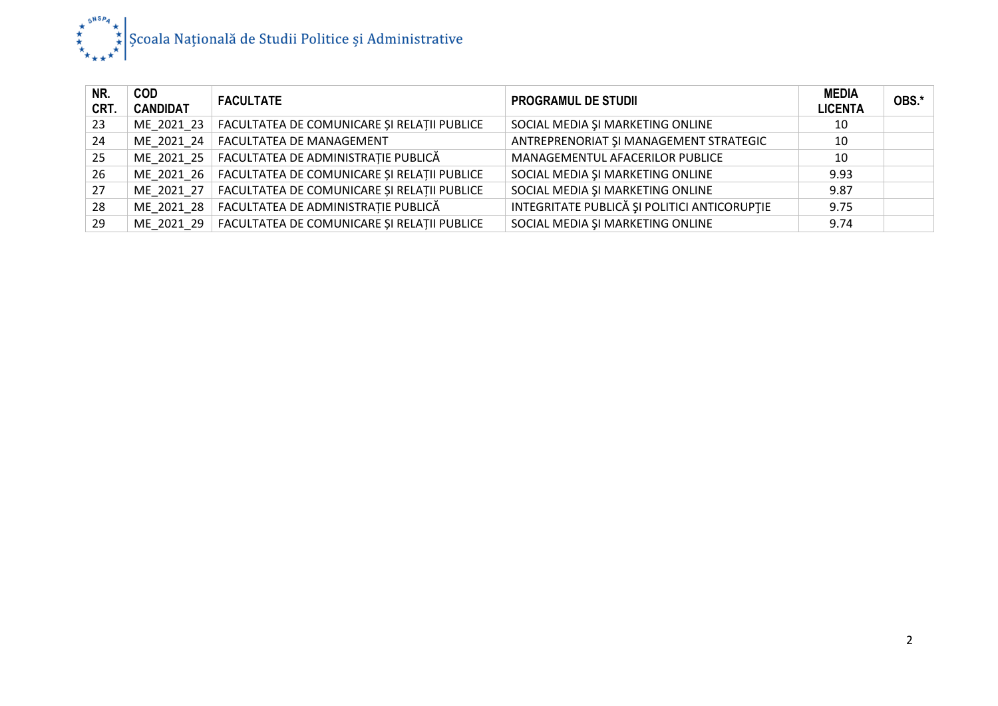

| NR.<br>CRT. | <b>COD</b><br><b>CANDIDAT</b> | <b>FACULTATE</b>                            | <b>PROGRAMUL DE STUDII</b>                   | <b>MEDIA</b><br><b>LICENTA</b> | OBS.* |
|-------------|-------------------------------|---------------------------------------------|----------------------------------------------|--------------------------------|-------|
| 23          | ME 2021 23                    | FACULTATEA DE COMUNICARE ȘI RELAȚII PUBLICE | SOCIAL MEDIA ȘI MARKETING ONLINE             | 10                             |       |
| 24          | ME 2021 24                    | FACULTATEA DE MANAGEMENT                    | ANTREPRENORIAT ȘI MANAGEMENT STRATEGIC       | 10                             |       |
| 25          | ME 2021 25                    | FACULTATEA DE ADMINISTRAȚIE PUBLICĂ         | MANAGEMENTUL AFACERILOR PUBLICE              | 10                             |       |
| 26          | ME 2021 26                    | FACULTATEA DE COMUNICARE ȘI RELAȚII PUBLICE | SOCIAL MEDIA ȘI MARKETING ONLINE             | 9.93                           |       |
| 27          | ME 2021 27                    | FACULTATEA DE COMUNICARE ȘI RELAȚII PUBLICE | SOCIAL MEDIA ȘI MARKETING ONLINE             | 9.87                           |       |
| 28          | ME 2021 28                    | FACULTATEA DE ADMINISTRAȚIE PUBLICĂ         | INTEGRITATE PUBLICĂ ȘI POLITICI ANTICORUPȚIE | 9.75                           |       |
| 29          | ME 2021 29                    | FACULTATEA DE COMUNICARE ȘI RELAȚII PUBLICE | SOCIAL MEDIA ȘI MARKETING ONLINE             | 9.74                           |       |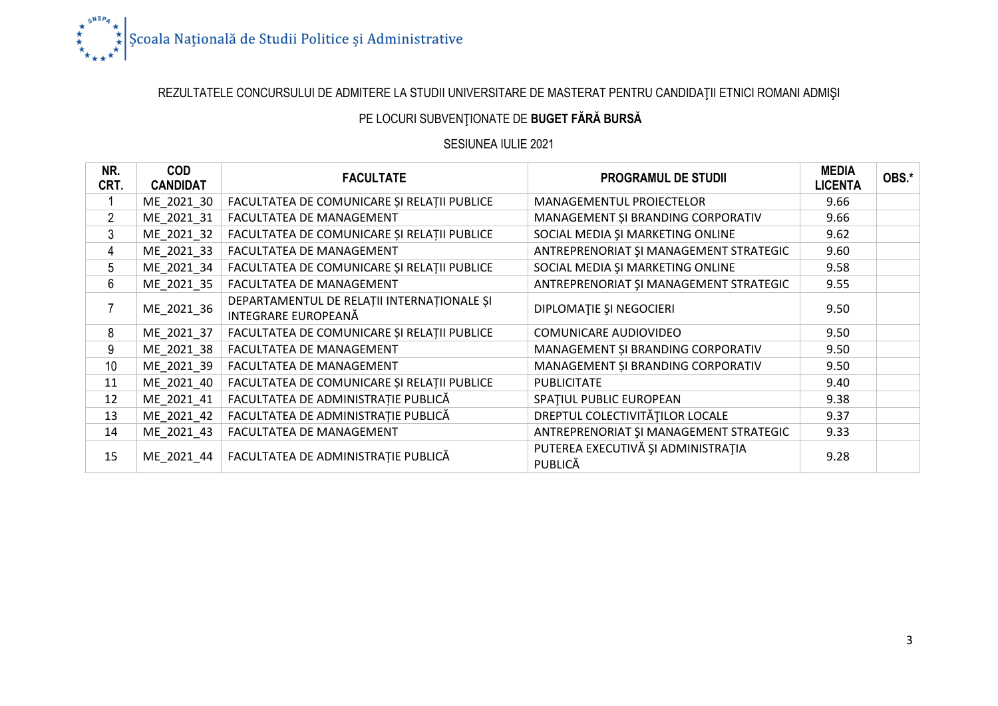

## REZULTATELE CONCURSULUI DE ADMITERE LA STUDII UNIVERSITARE DE MASTERAT PENTRU CANDIDAŢII ETNICI ROMANI ADMIŞI

# PE LOCURI SUBVENŢIONATE DE **BUGET FĂRĂ BURSĂ**

### SESIUNEA IULIE 2021

| NR.<br>CRT.    | <b>COD</b><br><b>CANDIDAT</b> | <b>FACULTATE</b>                                                  | <b>PROGRAMUL DE STUDII</b>                    | <b>MEDIA</b><br><b>LICENTA</b> | OBS.* |
|----------------|-------------------------------|-------------------------------------------------------------------|-----------------------------------------------|--------------------------------|-------|
|                | ME_2021_30                    | FACULTATEA DE COMUNICARE ȘI RELAȚII PUBLICE                       | MANAGEMENTUL PROIECTELOR                      | 9.66                           |       |
| $\overline{2}$ | ME_2021_31                    | FACULTATEA DE MANAGEMENT                                          | MANAGEMENT ȘI BRANDING CORPORATIV             | 9.66                           |       |
| 3              | ME_2021_32                    | FACULTATEA DE COMUNICARE ȘI RELAȚII PUBLICE                       | SOCIAL MEDIA ȘI MARKETING ONLINE              | 9.62                           |       |
| 4              | ME_2021_33                    | FACULTATEA DE MANAGEMENT                                          | ANTREPRENORIAT ȘI MANAGEMENT STRATEGIC        | 9.60                           |       |
| 5              | ME_2021_34                    | FACULTATEA DE COMUNICARE ȘI RELAȚII PUBLICE                       | SOCIAL MEDIA ȘI MARKETING ONLINE              | 9.58                           |       |
| 6              | ME 2021 35                    | FACULTATEA DE MANAGEMENT                                          | ANTREPRENORIAT ȘI MANAGEMENT STRATEGIC        | 9.55                           |       |
|                | ME_2021_36                    | DEPARTAMENTUL DE RELAȚII INTERNAȚIONALE ȘI<br>INTEGRARE EUROPEANĂ | DIPLOMAȚIE ȘI NEGOCIERI                       | 9.50                           |       |
| 8              | ME_2021_37                    | FACULTATEA DE COMUNICARE ȘI RELAȚII PUBLICE                       | COMUNICARE AUDIOVIDEO                         | 9.50                           |       |
| 9              | ME_2021_38                    | FACULTATEA DE MANAGEMENT                                          | MANAGEMENT ȘI BRANDING CORPORATIV             | 9.50                           |       |
| 10             | ME_2021_39                    | FACULTATEA DE MANAGEMENT                                          | MANAGEMENT ȘI BRANDING CORPORATIV             | 9.50                           |       |
| 11             | ME_2021_40                    | FACULTATEA DE COMUNICARE ȘI RELAȚII PUBLICE                       | <b>PUBLICITATE</b>                            | 9.40                           |       |
| 12             | ME 2021 41                    | FACULTATEA DE ADMINISTRAȚIE PUBLICĂ                               | SPATIUL PUBLIC EUROPEAN                       | 9.38                           |       |
| 13             | ME 2021 42                    | FACULTATEA DE ADMINISTRAȚIE PUBLICĂ                               | DREPTUL COLECTIVITĂȚILOR LOCALE               | 9.37                           |       |
| 14             | ME 2021 43                    | FACULTATEA DE MANAGEMENT                                          | ANTREPRENORIAT ȘI MANAGEMENT STRATEGIC        | 9.33                           |       |
| 15             | ME 2021 44                    | FACULTATEA DE ADMINISTRATIE PUBLICĂ                               | PUTEREA EXECUTIVĂ ȘI ADMINISTRAȚIA<br>PUBLICĂ | 9.28                           |       |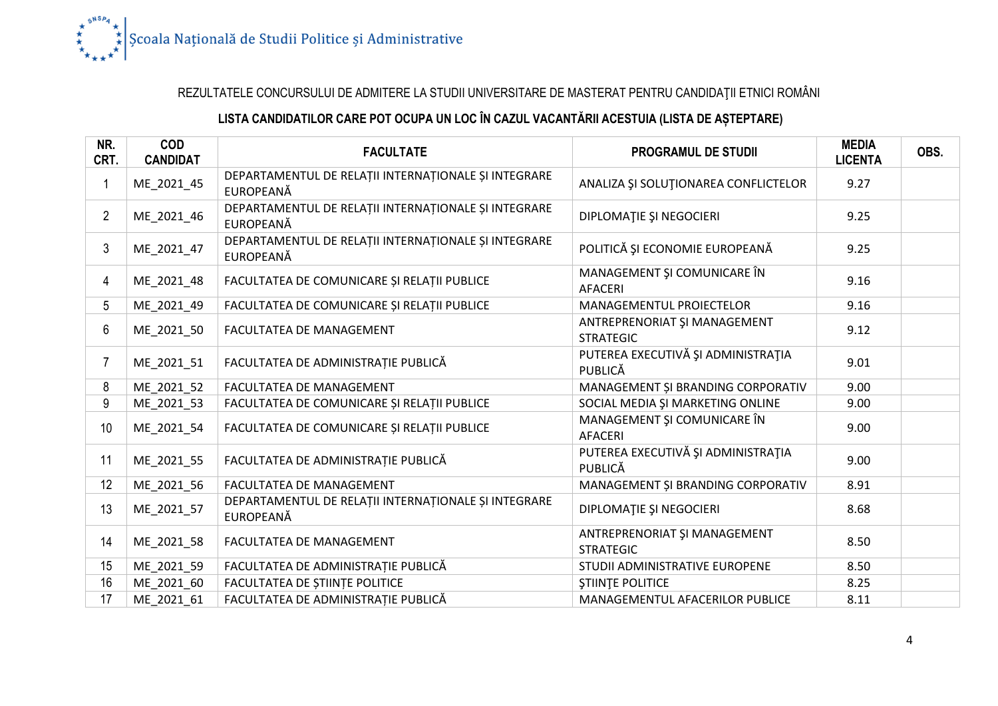

## REZULTATELE CONCURSULUI DE ADMITERE LA STUDII UNIVERSITARE DE MASTERAT PENTRU CANDIDAŢII ETNICI ROMÂNI

# **LISTA CANDIDATILOR CARE POT OCUPA UN LOC ÎN CAZUL VACANTĂRII ACESTUIA (LISTA DE AȘTEPTARE)**

| NR.<br>CRT.    | <b>COD</b><br><b>CANDIDAT</b> | <b>FACULTATE</b>                                                         | <b>PROGRAMUL DE STUDII</b>                           | <b>MEDIA</b><br><b>LICENTA</b> | OBS. |
|----------------|-------------------------------|--------------------------------------------------------------------------|------------------------------------------------------|--------------------------------|------|
|                | ME_2021_45                    | DEPARTAMENTUL DE RELAȚII INTERNAȚIONALE ȘI INTEGRARE<br><b>EUROPEANĂ</b> | ANALIZA ȘI SOLUȚIONAREA CONFLICTELOR                 | 9.27                           |      |
| $\overline{2}$ | ME_2021_46                    | DEPARTAMENTUL DE RELAȚII INTERNAȚIONALE ȘI INTEGRARE<br><b>EUROPEANĂ</b> | DIPLOMATIE ȘI NEGOCIERI                              | 9.25                           |      |
| 3              | ME_2021_47                    | DEPARTAMENTUL DE RELAȚII INTERNAȚIONALE ȘI INTEGRARE<br><b>EUROPEANĂ</b> | POLITICĂ ȘI ECONOMIE EUROPEANĂ                       | 9.25                           |      |
| 4              | ME_2021_48                    | FACULTATEA DE COMUNICARE ȘI RELAȚII PUBLICE                              | MANAGEMENT ȘI COMUNICARE ÎN<br><b>AFACERI</b>        | 9.16                           |      |
| 5              | ME_2021_49                    | FACULTATEA DE COMUNICARE ȘI RELAȚII PUBLICE                              | MANAGEMENTUL PROIECTELOR                             | 9.16                           |      |
| 6              | ME_2021_50                    | FACULTATEA DE MANAGEMENT                                                 | ANTREPRENORIAT ȘI MANAGEMENT<br><b>STRATEGIC</b>     | 9.12                           |      |
| $\overline{7}$ | ME_2021_51                    | FACULTATEA DE ADMINISTRAȚIE PUBLICĂ                                      | PUTEREA EXECUTIVĂ ȘI ADMINISTRAȚIA<br>PUBLICĂ        | 9.01                           |      |
| 8              | ME 2021 52                    | <b>FACULTATEA DE MANAGEMENT</b>                                          | MANAGEMENT ȘI BRANDING CORPORATIV                    | 9.00                           |      |
| 9              | ME_2021_53                    | FACULTATEA DE COMUNICARE ȘI RELAȚII PUBLICE                              | SOCIAL MEDIA ȘI MARKETING ONLINE                     | 9.00                           |      |
| 10             | ME_2021_54                    | FACULTATEA DE COMUNICARE ȘI RELAȚII PUBLICE                              | MANAGEMENT ȘI COMUNICARE ÎN<br><b>AFACERI</b>        | 9.00                           |      |
| 11             | ME_2021_55                    | FACULTATEA DE ADMINISTRAȚIE PUBLICĂ                                      | PUTEREA EXECUTIVĂ ȘI ADMINISTRAȚIA<br><b>PUBLICĂ</b> | 9.00                           |      |
| 12             | ME_2021_56                    | FACULTATEA DE MANAGEMENT                                                 | MANAGEMENT ȘI BRANDING CORPORATIV                    | 8.91                           |      |
| 13             | ME_2021_57                    | DEPARTAMENTUL DE RELAȚII INTERNAȚIONALE ȘI INTEGRARE<br><b>EUROPEANĂ</b> | DIPLOMAȚIE ȘI NEGOCIERI                              | 8.68                           |      |
| 14             | ME_2021_58                    | FACULTATEA DE MANAGEMENT                                                 | ANTREPRENORIAT ȘI MANAGEMENT<br><b>STRATEGIC</b>     | 8.50                           |      |
| 15             | ME 2021 59                    | FACULTATEA DE ADMINISTRAȚIE PUBLICĂ                                      | STUDII ADMINISTRATIVE EUROPENE                       | 8.50                           |      |
| 16             | ME_2021_60                    | <b>FACULTATEA DE STIINTE POLITICE</b>                                    | <b>STIINTE POLITICE</b>                              | 8.25                           |      |
| 17             | ME 2021 61                    | FACULTATEA DE ADMINISTRAȚIE PUBLICĂ                                      | MANAGEMENTUL AFACERILOR PUBLICE                      | 8.11                           |      |